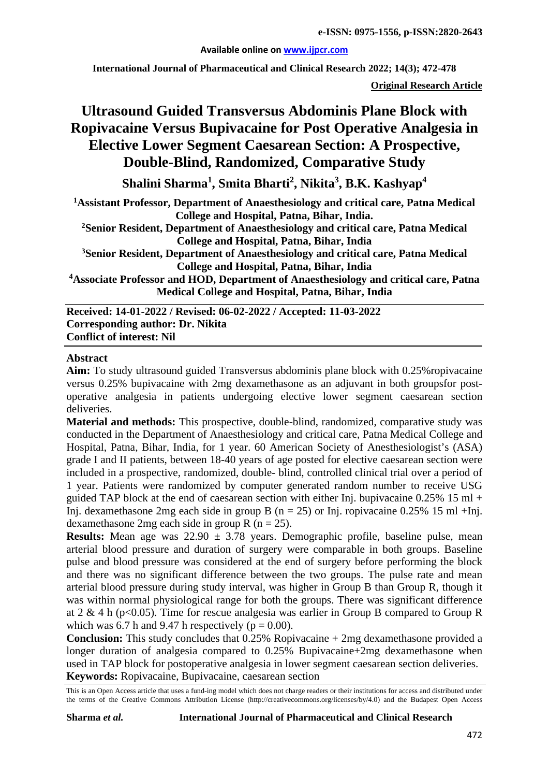**Available online on [www.ijpcr.com](http://www.ijpcr.com/)**

**International Journal of Pharmaceutical and Clinical Research 2022; 14(3); 472-478**

**Original Research Article**

# **Ultrasound Guided Transversus Abdominis Plane Block with Ropivacaine Versus Bupivacaine for Post Operative Analgesia in Elective Lower Segment Caesarean Section: A Prospective, Double-Blind, Randomized, Comparative Study**

**Shalini Sharma<sup>1</sup> , Smita Bharti<sup>2</sup> , Nikita3 , B.K. Kashyap4**

**1 Assistant Professor, Department of Anaesthesiology and critical care, Patna Medical College and Hospital, Patna, Bihar, India.**

**2 Senior Resident, Department of Anaesthesiology and critical care, Patna Medical College and Hospital, Patna, Bihar, India**

**3 Senior Resident, Department of Anaesthesiology and critical care, Patna Medical College and Hospital, Patna, Bihar, India**

**4 Associate Professor and HOD, Department of Anaesthesiology and critical care, Patna Medical College and Hospital, Patna, Bihar, India**

**Received: 14-01-2022 / Revised: 06-02-2022 / Accepted: 11-03-2022 Corresponding author: Dr. Nikita Conflict of interest: Nil**

#### **Abstract**

**Aim:** To study ultrasound guided Transversus abdominis plane block with 0.25%ropivacaine versus 0.25% bupivacaine with 2mg dexamethasone as an adjuvant in both groupsfor postoperative analgesia in patients undergoing elective lower segment caesarean section deliveries.

**Material and methods:** This prospective, double-blind, randomized, comparative study was conducted in the Department of Anaesthesiology and critical care, Patna Medical College and Hospital, Patna, Bihar, India, for 1 year. 60 American Society of Anesthesiologist's (ASA) grade I and II patients, between 18-40 years of age posted for elective caesarean section were included in a prospective, randomized, double- blind, controlled clinical trial over a period of 1 year. Patients were randomized by computer generated random number to receive USG guided TAP block at the end of caesarean section with either Inj. bupivacaine  $0.25\%$  15 ml + Inj. dexamethasone 2mg each side in group B (n = 25) or Inj. ropivacaine 0.25% 15 ml +Inj. dexamethasone 2mg each side in group R ( $n = 25$ ).

**Results:** Mean age was  $22.90 \pm 3.78$  years. Demographic profile, baseline pulse, mean arterial blood pressure and duration of surgery were comparable in both groups. Baseline pulse and blood pressure was considered at the end of surgery before performing the block and there was no significant difference between the two groups. The pulse rate and mean arterial blood pressure during study interval, was higher in Group B than Group R, though it was within normal physiological range for both the groups. There was significant difference at 2 & 4 h ( $p<0.05$ ). Time for rescue analgesia was earlier in Group B compared to Group R which was 6.7 h and 9.47 h respectively ( $p = 0.00$ ).

**Conclusion:** This study concludes that 0.25% Ropivacaine + 2mg dexamethasone provided a longer duration of analgesia compared to 0.25% Bupivacaine+2mg dexamethasone when used in TAP block for postoperative analgesia in lower segment caesarean section deliveries. **Keywords:** Ropivacaine, Bupivacaine, caesarean section

This is an Open Access article that uses a fund-ing model which does not charge readers or their institutions for access and distributed under the terms of the Creative Commons Attribution License (http://creativecommons.org/licenses/by/4.0) and the Budapest Open Access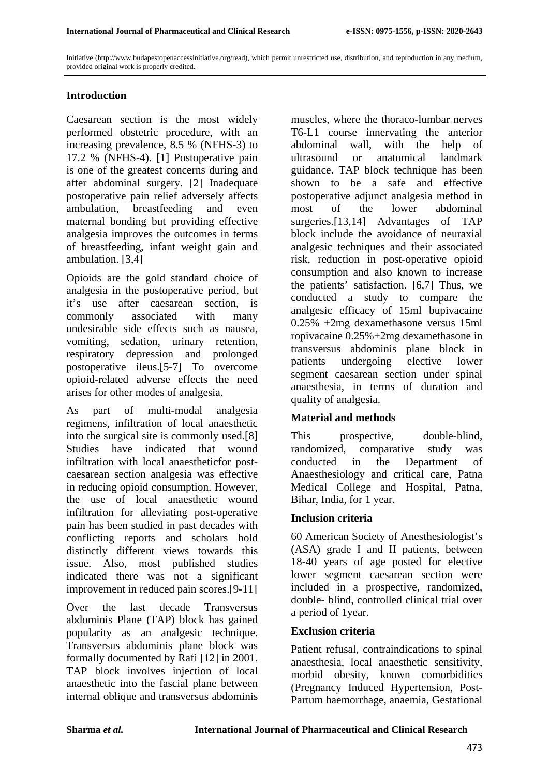Initiative (http://www.budapestopenaccessinitiative.org/read), which permit unrestricted use, distribution, and reproduction in any medium, provided original work is properly credited.

## **Introduction**

Caesarean section is the most widely performed obstetric procedure, with an increasing prevalence, 8.5 % (NFHS-3) to 17.2 % (NFHS-4). [1] Postoperative pain is one of the greatest concerns during and after abdominal surgery. [2] Inadequate postoperative pain relief adversely affects ambulation, breastfeeding and even maternal bonding but providing effective analgesia improves the outcomes in terms of breastfeeding, infant weight gain and ambulation. [3,4]

Opioids are the gold standard choice of analgesia in the postoperative period, but it's use after caesarean section, is commonly associated with many undesirable side effects such as nausea, vomiting, sedation, urinary retention, respiratory depression and prolonged postoperative ileus.[5-7] To overcome opioid-related adverse effects the need arises for other modes of analgesia.

As part of multi-modal analgesia regimens, infiltration of local anaesthetic into the surgical site is commonly used.[8] Studies have indicated that wound infiltration with local anaestheticfor postcaesarean section analgesia was effective in reducing opioid consumption. However, the use of local anaesthetic wound infiltration for alleviating post-operative pain has been studied in past decades with conflicting reports and scholars hold distinctly different views towards this issue. Also, most published studies indicated there was not a significant improvement in reduced pain scores.[9-11]

Over the last decade Transversus abdominis Plane (TAP) block has gained popularity as an analgesic technique. Transversus abdominis plane block was formally documented by Rafi [12] in 2001. TAP block involves injection of local anaesthetic into the fascial plane between internal oblique and transversus abdominis

muscles, where the thoraco-lumbar nerves T6-L1 course innervating the anterior abdominal wall, with the help of ultrasound or anatomical landmark guidance. TAP block technique has been shown to be a safe and effective postoperative adjunct analgesia method in most of the lower abdominal surgeries.<sup>[13,14]</sup> Advantages of TAP block include the avoidance of neuraxial analgesic techniques and their associated risk, reduction in post-operative opioid consumption and also known to increase the patients' satisfaction. [6,7] Thus, we conducted a study to compare the analgesic efficacy of 15ml bupivacaine 0.25% +2mg dexamethasone versus 15ml ropivacaine 0.25%+2mg dexamethasone in transversus abdominis plane block in patients undergoing elective lower segment caesarean section under spinal anaesthesia, in terms of duration and quality of analgesia.

## **Material and methods**

This prospective, double-blind, randomized, comparative study was conducted in the Department of Anaesthesiology and critical care, Patna Medical College and Hospital, Patna, Bihar, India, for 1 year.

## **Inclusion criteria**

60 American Society of Anesthesiologist's (ASA) grade I and II patients, between 18-40 years of age posted for elective lower segment caesarean section were included in a prospective, randomized, double- blind, controlled clinical trial over a period of 1year.

#### **Exclusion criteria**

Patient refusal, contraindications to spinal anaesthesia, local anaesthetic sensitivity, morbid obesity, known comorbidities (Pregnancy Induced Hypertension, Post-Partum haemorrhage, anaemia, Gestational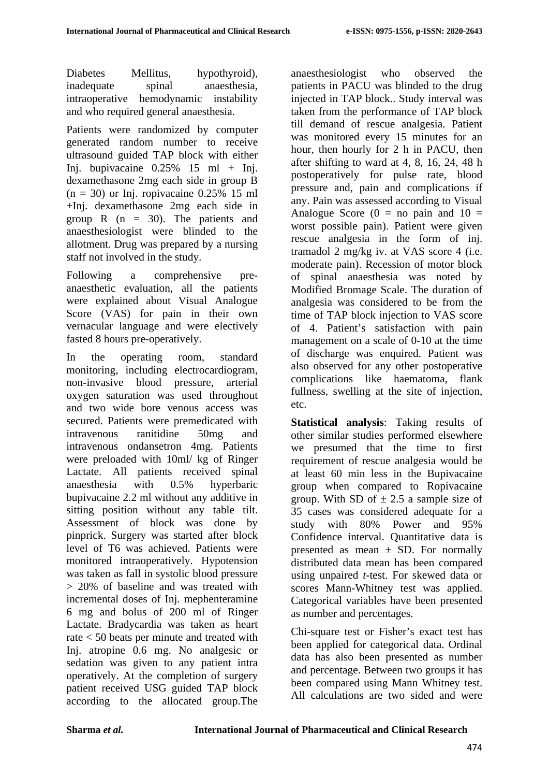Diabetes Mellitus, hypothyroid), inadequate spinal anaesthesia, intraoperative hemodynamic instability and who required general anaesthesia.

Patients were randomized by computer generated random number to receive ultrasound guided TAP block with either Ini. bupivacaine  $0.25\%$  15 ml + Ini. dexamethasone 2mg each side in group B  $(n = 30)$  or Inj. ropivacaine 0.25% 15 ml +Inj. dexamethasone 2mg each side in group R  $(n = 30)$ . The patients and anaesthesiologist were blinded to the allotment. Drug was prepared by a nursing staff not involved in the study.

Following a comprehensive preanaesthetic evaluation, all the patients were explained about Visual Analogue Score (VAS) for pain in their own vernacular language and were electively fasted 8 hours pre-operatively.

In the operating room, standard monitoring, including electrocardiogram, non-invasive blood pressure, arterial oxygen saturation was used throughout and two wide bore venous access was secured. Patients were premedicated with intravenous ranitidine 50mg and intravenous ondansetron 4mg. Patients were preloaded with 10ml/ kg of Ringer Lactate. All patients received spinal anaesthesia with 0.5% hyperbaric bupivacaine 2.2 ml without any additive in sitting position without any table tilt. Assessment of block was done by pinprick. Surgery was started after block level of T6 was achieved. Patients were monitored intraoperatively. Hypotension was taken as fall in systolic blood pressure > 20% of baseline and was treated with incremental doses of Inj. mephenteramine 6 mg and bolus of 200 ml of Ringer Lactate. Bradycardia was taken as heart rate < 50 beats per minute and treated with Inj. atropine 0.6 mg. No analgesic or sedation was given to any patient intra operatively. At the completion of surgery patient received USG guided TAP block according to the allocated group.The anaesthesiologist who observed the patients in PACU was blinded to the drug injected in TAP block.. Study interval was taken from the performance of TAP block till demand of rescue analgesia. Patient was monitored every 15 minutes for an hour, then hourly for 2 h in PACU, then after shifting to ward at 4, 8, 16, 24, 48 h postoperatively for pulse rate, blood pressure and, pain and complications if any. Pain was assessed according to Visual Analogue Score  $(0 = no \,\text{pain} \,\text{ and } \,10 =$ worst possible pain). Patient were given rescue analgesia in the form of inj. tramadol 2 mg/kg iv. at VAS score 4 (i.e. moderate pain). Recession of motor block of spinal anaesthesia was noted by Modified Bromage Scale. The duration of analgesia was considered to be from the time of TAP block injection to VAS score of 4. Patient's satisfaction with pain management on a scale of 0-10 at the time of discharge was enquired. Patient was also observed for any other postoperative complications like haematoma, flank fullness, swelling at the site of injection, etc.

**Statistical analysis**: Taking results of other similar studies performed elsewhere we presumed that the time to first requirement of rescue analgesia would be at least 60 min less in the Bupivacaine group when compared to Ropivacaine group. With SD of  $\pm$  2.5 a sample size of 35 cases was considered adequate for a study with 80% Power and 95% Confidence interval. Quantitative data is presented as mean  $\pm$  SD. For normally distributed data mean has been compared using unpaired *t*-test. For skewed data or scores Mann-Whitney test was applied. Categorical variables have been presented as number and percentages.

Chi-square test or Fisher's exact test has been applied for categorical data. Ordinal data has also been presented as number and percentage. Between two groups it has been compared using Mann Whitney test. All calculations are two sided and were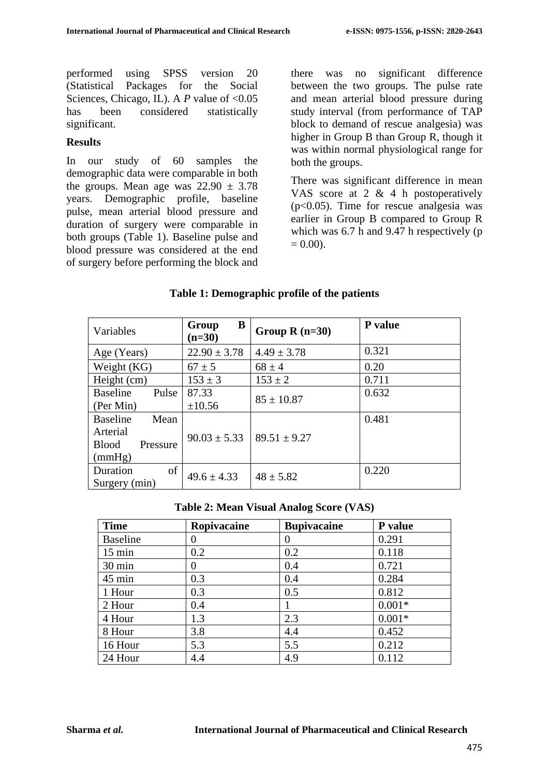performed using SPSS version 20 (Statistical Packages for the Social Sciences, Chicago, IL). A *P* value of <0.05 has been considered statistically significant.

#### **Results**

In our study of 60 samples the demographic data were comparable in both the groups. Mean age was  $22.90 \pm 3.78$ years. Demographic profile, baseline pulse, mean arterial blood pressure and duration of surgery were comparable in both groups (Table 1). Baseline pulse and blood pressure was considered at the end of surgery before performing the block and there was no significant difference between the two groups. The pulse rate and mean arterial blood pressure during study interval (from performance of TAP block to demand of rescue analgesia) was higher in Group B than Group R, though it was within normal physiological range for both the groups.

There was significant difference in mean VAS score at 2 & 4 h postoperatively (p<0.05). Time for rescue analgesia was earlier in Group B compared to Group R which was 6.7 h and 9.47 h respectively (p  $= 0.00$ ).

| Variables                | B<br>Group<br>$(n=30)$ | Group $R(n=30)$  | P value |
|--------------------------|------------------------|------------------|---------|
| Age (Years)              | $22.90 \pm 3.78$       | $4.49 \pm 3.78$  | 0.321   |
| Weight (KG)              | $67 \pm 5$             | $68 \pm 4$       | 0.20    |
| Height (cm)              | $153 \pm 3$            | $153 \pm 2$      | 0.711   |
| Pulse<br><b>Baseline</b> | 87.33                  | $85 \pm 10.87$   | 0.632   |
| (Per Min)                | ±10.56                 |                  |         |
| <b>Baseline</b><br>Mean  |                        |                  | 0.481   |
| Arterial                 | $90.03 \pm 5.33$       | $89.51 \pm 9.27$ |         |
| <b>Blood</b><br>Pressure |                        |                  |         |
| (mmHg)                   |                        |                  |         |
| of<br>Duration           | $49.6 \pm 4.33$        | $48 \pm 5.82$    | 0.220   |
| Surgery (min)            |                        |                  |         |

#### **Table 1: Demographic profile of the patients**

**Table 2: Mean Visual Analog Score (VAS)**

| <b>Time</b>      | Ropivacaine | <b>Bupivacaine</b> | P value  |
|------------------|-------------|--------------------|----------|
| <b>Baseline</b>  | 0           | $\mathbf{0}$       | 0.291    |
| $15 \text{ min}$ | 0.2         | 0.2                | 0.118    |
| 30 min           | $\theta$    | 0.4                | 0.721    |
| 45 min           | 0.3         | 0.4                | 0.284    |
| 1 Hour           | 0.3         | 0.5                | 0.812    |
| 2 Hour           | 0.4         |                    | $0.001*$ |
| 4 Hour           | 1.3         | 2.3                | $0.001*$ |
| 8 Hour           | 3.8         | 4.4                | 0.452    |
| 16 Hour          | 5.3         | 5.5                | 0.212    |
| 24 Hour          | 4.4         | 4.9                | 0.112    |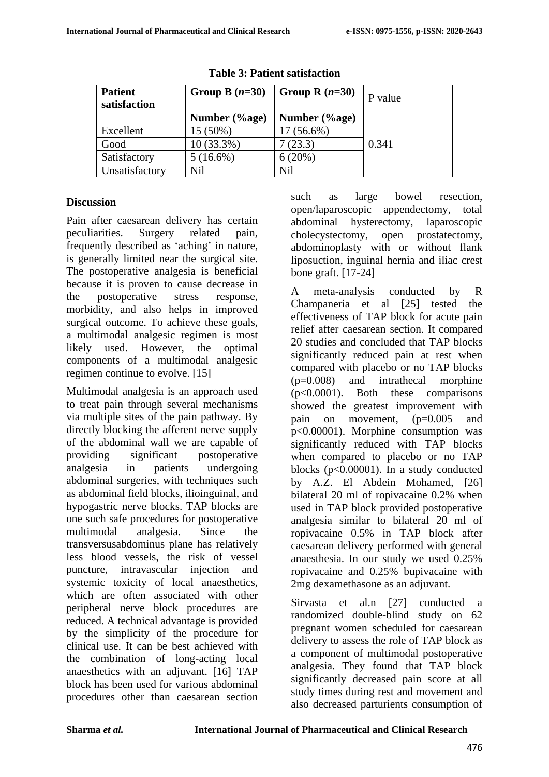| <b>Patient</b><br>satisfaction | Group B $(n=30)$ | Group R $(n=30)$  | P value |
|--------------------------------|------------------|-------------------|---------|
|                                | Number (%age)    | Number $(\%$ age) |         |
| Excellent                      | 15 (50%)         | 17 (56.6%)        |         |
| Good                           | $10(33.3\%)$     | (23.3)            | 0.341   |
| Satisfactory                   | $5(16.6\%)$      | 6(20%)            |         |
| Unsatisfactory                 | Nil              | Nil               |         |

**Table 3: Patient satisfaction**

#### **Discussion**

Pain after caesarean delivery has certain peculiarities. Surgery related pain, frequently described as 'aching' in nature, is generally limited near the surgical site. The postoperative analgesia is beneficial because it is proven to cause decrease in the postoperative stress response, morbidity, and also helps in improved surgical outcome. To achieve these goals, a multimodal analgesic regimen is most likely used. However, the optimal components of a multimodal analgesic regimen continue to evolve. [15]

Multimodal analgesia is an approach used to treat pain through several mechanisms via multiple sites of the pain pathway. By directly blocking the afferent nerve supply of the abdominal wall we are capable of providing significant postoperative analgesia in patients undergoing abdominal surgeries, with techniques such as abdominal field blocks, ilioinguinal, and hypogastric nerve blocks. TAP blocks are one such safe procedures for postoperative multimodal analgesia. Since the transversusabdominus plane has relatively less blood vessels, the risk of vessel puncture, intravascular injection and systemic toxicity of local anaesthetics, which are often associated with other peripheral nerve block procedures are reduced. A technical advantage is provided by the simplicity of the procedure for clinical use. It can be best achieved with the combination of long-acting local anaesthetics with an adjuvant. [16] TAP block has been used for various abdominal procedures other than caesarean section such as large bowel resection, open/laparoscopic appendectomy, total abdominal hysterectomy, laparoscopic cholecystectomy, open prostatectomy, abdominoplasty with or without flank liposuction, inguinal hernia and iliac crest bone graft. [17-24]

A meta-analysis conducted by R Champaneria et al [25] tested the effectiveness of TAP block for acute pain relief after caesarean section. It compared 20 studies and concluded that TAP blocks significantly reduced pain at rest when compared with placebo or no TAP blocks (p=0.008) and intrathecal morphine (p<0.0001). Both these comparisons showed the greatest improvement with pain on movement, (p=0.005 and p<0.00001). Morphine consumption was significantly reduced with TAP blocks when compared to placebo or no TAP blocks (p<0.00001). In a study conducted by A.Z. El Abdein Mohamed, [26] bilateral 20 ml of ropivacaine 0.2% when used in TAP block provided postoperative analgesia similar to bilateral 20 ml of ropivacaine 0.5% in TAP block after caesarean delivery performed with general anaesthesia. In our study we used 0.25% ropivacaine and 0.25% bupivacaine with 2mg dexamethasone as an adjuvant.

Sirvasta et al.n [27] conducted a randomized double-blind study on 62 pregnant women scheduled for caesarean delivery to assess the role of TAP block as a component of multimodal postoperative analgesia. They found that TAP block significantly decreased pain score at all study times during rest and movement and also decreased parturients consumption of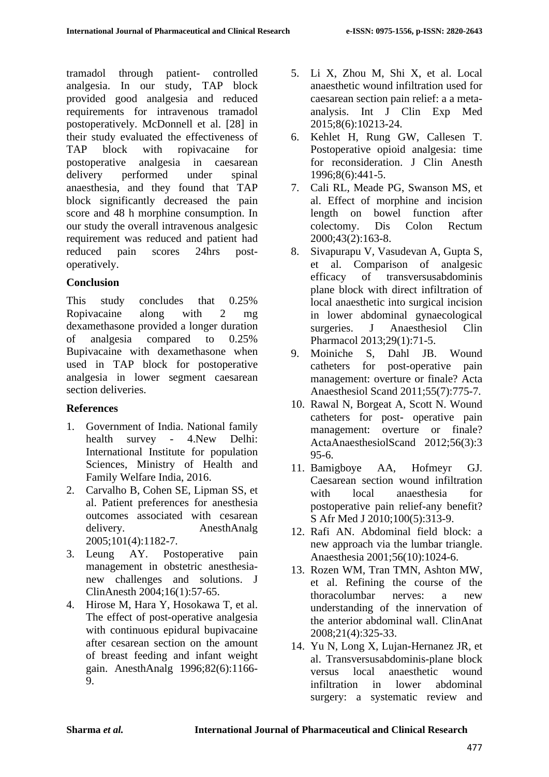tramadol through patient- controlled analgesia. In our study, TAP block provided good analgesia and reduced requirements for intravenous tramadol postoperatively. McDonnell et al. [28] in their study evaluated the effectiveness of TAP block with ropivacaine for postoperative analgesia in caesarean delivery performed under spinal anaesthesia, and they found that TAP block significantly decreased the pain score and 48 h morphine consumption. In our study the overall intravenous analgesic requirement was reduced and patient had reduced pain scores 24hrs postoperatively.

## **Conclusion**

This study concludes that 0.25% Ropivacaine along with 2 mg dexamethasone provided a longer duration of analgesia compared to 0.25% Bupivacaine with dexamethasone when used in TAP block for postoperative analgesia in lower segment caesarean section deliveries.

# **References**

- 1. Government of India. National family health survey - 4.New Delhi: International Institute for population Sciences, Ministry of Health and Family Welfare India, 2016.
- 2. Carvalho B, Cohen SE, Lipman SS, et al. Patient preferences for anesthesia outcomes associated with cesarean delivery. AnesthAnalg 2005;101(4):1182-7.
- 3. Leung AY. Postoperative pain management in obstetric anesthesianew challenges and solutions. J ClinAnesth 2004;16(1):57-65.
- 4. Hirose M, Hara Y, Hosokawa T, et al. The effect of post-operative analgesia with continuous epidural bupivacaine after cesarean section on the amount of breast feeding and infant weight gain. AnesthAnalg 1996;82(6):1166- 9.
- 5. Li X, Zhou M, Shi X, et al. Local anaesthetic wound infiltration used for caesarean section pain relief: a a metaanalysis. Int [J Clin](https://www.ncbi.nlm.nih.gov/pmc/articles/PMC4538135/) [Exp Med](https://www.ncbi.nlm.nih.gov/pmc/articles/PMC4538135/)  2015;8(6):10213-24.
- 6. Kehlet H, Rung GW, Callesen T. Postoperative opioid analgesia: time for reconsideration. J Clin Anesth 1996;8(6):441-5.
- 7. Cali RL, Meade PG, Swanson MS, et al. Effect of morphine and incision length on bowel function after colectomy. Dis Colon Rectum 2000;43(2):163-8.
- 8. Sivapurapu V, Vasudevan A, Gupta S, et al. Comparison of analgesic efficacy of transversusabdominis plane block with direct infiltration of local anaesthetic into surgical incision in lower abdominal gynaecological surgeries. J Anaesthesiol Clin Pharmacol 2013;29(1):71-5.
- 9. Moiniche S, Dahl JB. Wound catheters for post-operative pain management: overture or finale? Acta Anaesthesiol Scand 2011;55(7):775-7.
- 10. Rawal N, Borgeat A, Scott N. Wound catheters for post- operative pain management: overture or finale? ActaAnaesthesiolScand 2012;56(3):3 95-6.
- 11. Bamigboye AA, Hofmeyr GJ. Caesarean section wound infiltration with local anaesthesia for postoperative pain relief-any benefit? S Afr Med J 2010;100(5):313-9.
- 12. Rafi AN. Abdominal field block: a new approach via the lumbar triangle. Anaesthesia 2001;56(10):1024-6.
- 13. Rozen WM, Tran TMN, Ashton MW, et al. Refining the course of the thoracolumbar nerves: a new understanding of the innervation of the anterior abdominal wall. ClinAnat 2008;21(4):325-33.
- 14. Yu N, Long X, Lujan-Hernanez JR, et al. Transversusabdominis-plane block versus local anaesthetic wound infiltration in lower abdominal surgery: a systematic review and